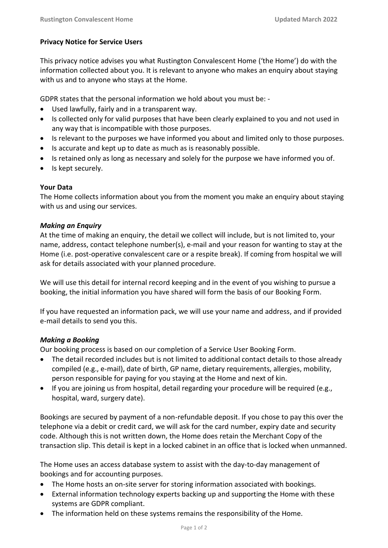# **Privacy Notice for Service Users**

This privacy notice advises you what Rustington Convalescent Home ('the Home') do with the information collected about you. It is relevant to anyone who makes an enquiry about staying with us and to anyone who stays at the Home.

GDPR states that the personal information we hold about you must be: -

- Used lawfully, fairly and in a transparent way.
- Is collected only for valid purposes that have been clearly explained to you and not used in any way that is incompatible with those purposes.
- Is relevant to the purposes we have informed you about and limited only to those purposes.
- Is accurate and kept up to date as much as is reasonably possible.
- Is retained only as long as necessary and solely for the purpose we have informed you of.
- Is kept securely.

# **Your Data**

The Home collects information about you from the moment you make an enquiry about staying with us and using our services.

## *Making an Enquiry*

At the time of making an enquiry, the detail we collect will include, but is not limited to, your name, address, contact telephone number(s), e-mail and your reason for wanting to stay at the Home (i.e. post-operative convalescent care or a respite break). If coming from hospital we will ask for details associated with your planned procedure.

We will use this detail for internal record keeping and in the event of you wishing to pursue a booking, the initial information you have shared will form the basis of our Booking Form.

If you have requested an information pack, we will use your name and address, and if provided e-mail details to send you this.

## *Making a Booking*

Our booking process is based on our completion of a Service User Booking Form.

- The detail recorded includes but is not limited to additional contact details to those already compiled (e.g., e-mail), date of birth, GP name, dietary requirements, allergies, mobility, person responsible for paying for you staying at the Home and next of kin.
- If you are joining us from hospital, detail regarding your procedure will be required (e.g., hospital, ward, surgery date).

Bookings are secured by payment of a non-refundable deposit. If you chose to pay this over the telephone via a debit or credit card, we will ask for the card number, expiry date and security code. Although this is not written down, the Home does retain the Merchant Copy of the transaction slip. This detail is kept in a locked cabinet in an office that is locked when unmanned.

The Home uses an access database system to assist with the day-to-day management of bookings and for accounting purposes.

- The Home hosts an on-site server for storing information associated with bookings.
- External information technology experts backing up and supporting the Home with these systems are GDPR compliant.
- The information held on these systems remains the responsibility of the Home.